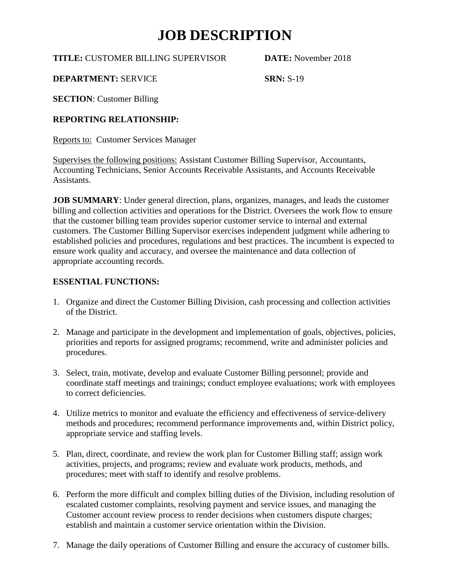**TITLE:** CUSTOMER BILLING SUPERVISOR **DATE:** November 2018

**DEPARTMENT: SERVICE SRN: S-19** 

**SECTION**: Customer Billing

### **REPORTING RELATIONSHIP:**

Reports to: Customer Services Manager

Supervises the following positions: Assistant Customer Billing Supervisor, Accountants, Accounting Technicians, Senior Accounts Receivable Assistants, and Accounts Receivable Assistants.

**JOB SUMMARY**: Under general direction, plans, organizes, manages, and leads the customer billing and collection activities and operations for the District. Oversees the work flow to ensure that the customer billing team provides superior customer service to internal and external customers. The Customer Billing Supervisor exercises independent judgment while adhering to established policies and procedures, regulations and best practices. The incumbent is expected to ensure work quality and accuracy, and oversee the maintenance and data collection of appropriate accounting records.

### **ESSENTIAL FUNCTIONS:**

- 1. Organize and direct the Customer Billing Division, cash processing and collection activities of the District.
- 2. Manage and participate in the development and implementation of goals, objectives, policies, priorities and reports for assigned programs; recommend, write and administer policies and procedures.
- 3. Select, train, motivate, develop and evaluate Customer Billing personnel; provide and coordinate staff meetings and trainings; conduct employee evaluations; work with employees to correct deficiencies.
- 4. Utilize metrics to monitor and evaluate the efficiency and effectiveness of service-delivery methods and procedures; recommend performance improvements and, within District policy, appropriate service and staffing levels.
- 5. Plan, direct, coordinate, and review the work plan for Customer Billing staff; assign work activities, projects, and programs; review and evaluate work products, methods, and procedures; meet with staff to identify and resolve problems.
- 6. Perform the more difficult and complex billing duties of the Division, including resolution of escalated customer complaints, resolving payment and service issues, and managing the Customer account review process to render decisions when customers dispute charges; establish and maintain a customer service orientation within the Division.
- 7. Manage the daily operations of Customer Billing and ensure the accuracy of customer bills.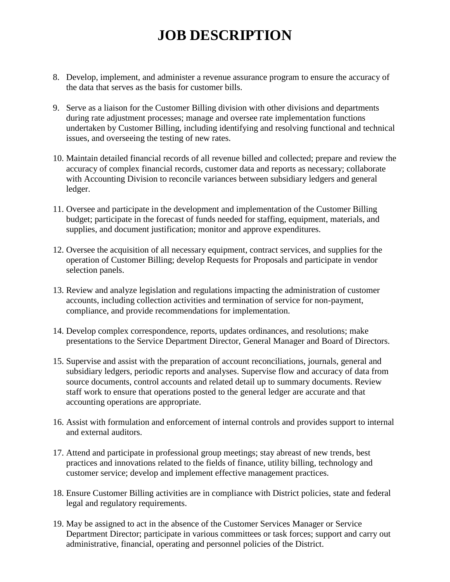- 8. Develop, implement, and administer a revenue assurance program to ensure the accuracy of the data that serves as the basis for customer bills.
- 9. Serve as a liaison for the Customer Billing division with other divisions and departments during rate adjustment processes; manage and oversee rate implementation functions undertaken by Customer Billing, including identifying and resolving functional and technical issues, and overseeing the testing of new rates.
- 10. Maintain detailed financial records of all revenue billed and collected; prepare and review the accuracy of complex financial records, customer data and reports as necessary; collaborate with Accounting Division to reconcile variances between subsidiary ledgers and general ledger.
- 11. Oversee and participate in the development and implementation of the Customer Billing budget; participate in the forecast of funds needed for staffing, equipment, materials, and supplies, and document justification; monitor and approve expenditures.
- 12. Oversee the acquisition of all necessary equipment, contract services, and supplies for the operation of Customer Billing; develop Requests for Proposals and participate in vendor selection panels.
- 13. Review and analyze legislation and regulations impacting the administration of customer accounts, including collection activities and termination of service for non-payment, compliance, and provide recommendations for implementation.
- 14. Develop complex correspondence, reports, updates ordinances, and resolutions; make presentations to the Service Department Director, General Manager and Board of Directors.
- 15. Supervise and assist with the preparation of account reconciliations, journals, general and subsidiary ledgers, periodic reports and analyses. Supervise flow and accuracy of data from source documents, control accounts and related detail up to summary documents. Review staff work to ensure that operations posted to the general ledger are accurate and that accounting operations are appropriate.
- 16. Assist with formulation and enforcement of internal controls and provides support to internal and external auditors.
- 17. Attend and participate in professional group meetings; stay abreast of new trends, best practices and innovations related to the fields of finance, utility billing, technology and customer service; develop and implement effective management practices.
- 18. Ensure Customer Billing activities are in compliance with District policies, state and federal legal and regulatory requirements.
- 19. May be assigned to act in the absence of the Customer Services Manager or Service Department Director; participate in various committees or task forces; support and carry out administrative, financial, operating and personnel policies of the District.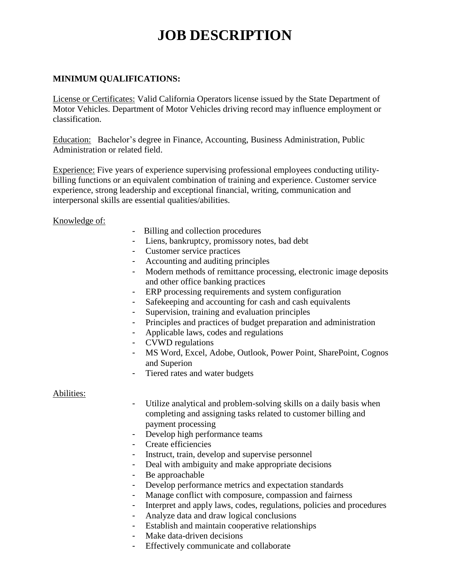### **MINIMUM QUALIFICATIONS:**

License or Certificates: Valid California Operators license issued by the State Department of Motor Vehicles. Department of Motor Vehicles driving record may influence employment or classification.

Education: Bachelor's degree in Finance, Accounting, Business Administration, Public Administration or related field.

Experience: Five years of experience supervising professional employees conducting utilitybilling functions or an equivalent combination of training and experience. Customer service experience, strong leadership and exceptional financial, writing, communication and interpersonal skills are essential qualities/abilities.

Knowledge of:

- Billing and collection procedures
- Liens, bankruptcy, promissory notes, bad debt
- Customer service practices
- Accounting and auditing principles
- Modern methods of remittance processing, electronic image deposits and other office banking practices
- ERP processing requirements and system configuration
- Safekeeping and accounting for cash and cash equivalents
- Supervision, training and evaluation principles
- Principles and practices of budget preparation and administration
- Applicable laws, codes and regulations
- CVWD regulations
- MS Word, Excel, Adobe, Outlook, Power Point, SharePoint, Cognos and Superion
- Tiered rates and water budgets

#### Abilities:

- Utilize analytical and problem-solving skills on a daily basis when completing and assigning tasks related to customer billing and payment processing
- Develop high performance teams
- Create efficiencies
- Instruct, train, develop and supervise personnel
- Deal with ambiguity and make appropriate decisions
- Be approachable
- Develop performance metrics and expectation standards
- Manage conflict with composure, compassion and fairness
- Interpret and apply laws, codes, regulations, policies and procedures
- Analyze data and draw logical conclusions
- Establish and maintain cooperative relationships
- Make data-driven decisions
- Effectively communicate and collaborate